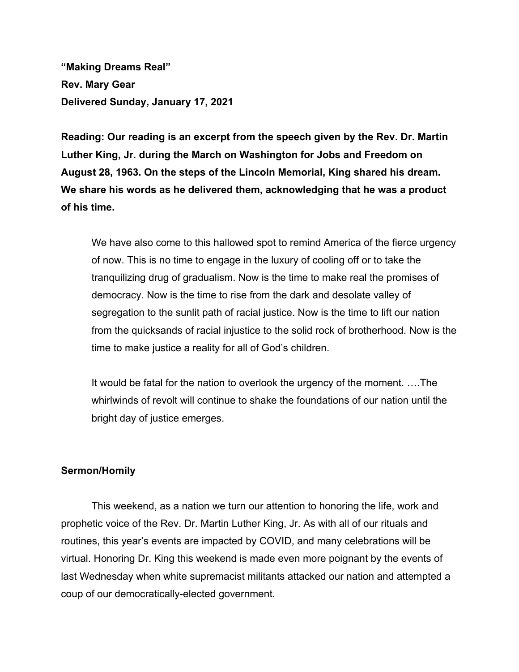**"Making Dreams Real" Rev. Mary Gear Delivered Sunday, January 17, 2021**

**Reading: Our reading is an excerpt from the speech given by the Rev. Dr. Martin Luther King, Jr. during the March on Washington for Jobs and Freedom on August 28, 1963. On the steps of the Lincoln Memorial, King shared his dream. We share his words as he delivered them, acknowledging that he was a product of his time.**

We have also come to this hallowed spot to remind America of the fierce urgency of now. This is no time to engage in the luxury of cooling off or to take the tranquilizing drug of gradualism. Now is the time to make real the promises of democracy. Now is the time to rise from the dark and desolate valley of segregation to the sunlit path of racial justice. Now is the time to lift our nation from the quicksands of racial injustice to the solid rock of brotherhood. Now is the time to make justice a reality for all of God's children.

It would be fatal for the nation to overlook the urgency of the moment. ….The whirlwinds of revolt will continue to shake the foundations of our nation until the bright day of justice emerges.

## **Sermon/Homily**

This weekend, as a nation we turn our attention to honoring the life, work and prophetic voice of the Rev. Dr. Martin Luther King, Jr. As with all of our rituals and routines, this year's events are impacted by COVID, and many celebrations will be virtual. Honoring Dr. King this weekend is made even more poignant by the events of last Wednesday when white supremacist militants attacked our nation and attempted a coup of our democratically-elected government.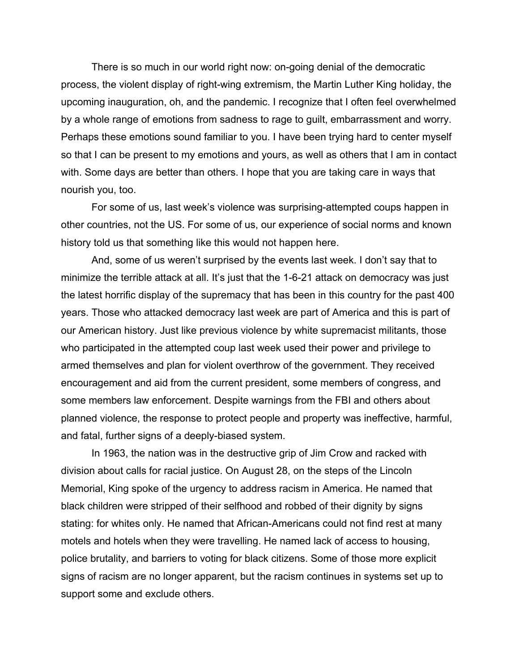There is so much in our world right now: on-going denial of the democratic process, the violent display of right-wing extremism, the Martin Luther King holiday, the upcoming inauguration, oh, and the pandemic. I recognize that I often feel overwhelmed by a whole range of emotions from sadness to rage to guilt, embarrassment and worry. Perhaps these emotions sound familiar to you. I have been trying hard to center myself so that I can be present to my emotions and yours, as well as others that I am in contact with. Some days are better than others. I hope that you are taking care in ways that nourish you, too.

For some of us, last week's violence was surprising-attempted coups happen in other countries, not the US. For some of us, our experience of social norms and known history told us that something like this would not happen here.

And, some of us weren't surprised by the events last week. I don't say that to minimize the terrible attack at all. It's just that the 1-6-21 attack on democracy was just the latest horrific display of the supremacy that has been in this country for the past 400 years. Those who attacked democracy last week are part of America and this is part of our American history. Just like previous violence by white supremacist militants, those who participated in the attempted coup last week used their power and privilege to armed themselves and plan for violent overthrow of the government. They received encouragement and aid from the current president, some members of congress, and some members law enforcement. Despite warnings from the FBI and others about planned violence, the response to protect people and property was ineffective, harmful, and fatal, further signs of a deeply-biased system.

In 1963, the nation was in the destructive grip of Jim Crow and racked with division about calls for racial justice. On August 28, on the steps of the Lincoln Memorial, King spoke of the urgency to address racism in America. He named that black children were stripped of their selfhood and robbed of their dignity by signs stating: for whites only. He named that African-Americans could not find rest at many motels and hotels when they were travelling. He named lack of access to housing, police brutality, and barriers to voting for black citizens. Some of those more explicit signs of racism are no longer apparent, but the racism continues in systems set up to support some and exclude others.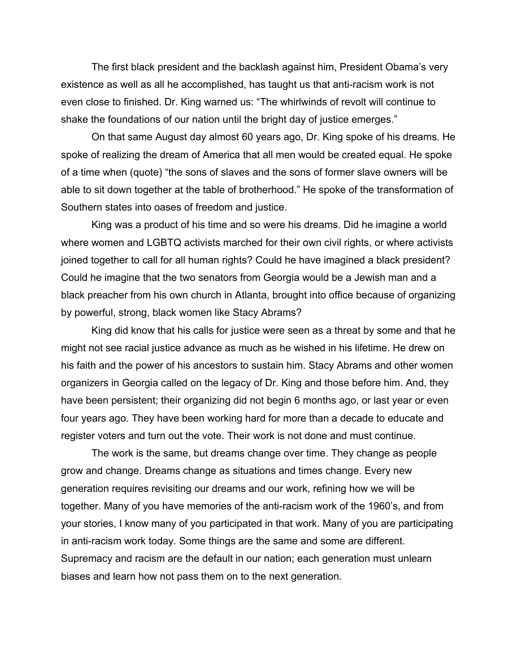The first black president and the backlash against him, President Obama's very existence as well as all he accomplished, has taught us that anti-racism work is not even close to finished. Dr. King warned us: "The whirlwinds of revolt will continue to shake the foundations of our nation until the bright day of justice emerges."

On that same August day almost 60 years ago, Dr. King spoke of his dreams. He spoke of realizing the dream of America that all men would be created equal. He spoke of a time when (quote) "the sons of slaves and the sons of former slave owners will be able to sit down together at the table of brotherhood." He spoke of the transformation of Southern states into oases of freedom and justice.

King was a product of his time and so were his dreams. Did he imagine a world where women and LGBTQ activists marched for their own civil rights, or where activists joined together to call for all human rights? Could he have imagined a black president? Could he imagine that the two senators from Georgia would be a Jewish man and a black preacher from his own church in Atlanta, brought into office because of organizing by powerful, strong, black women like Stacy Abrams?

King did know that his calls for justice were seen as a threat by some and that he might not see racial justice advance as much as he wished in his lifetime. He drew on his faith and the power of his ancestors to sustain him. Stacy Abrams and other women organizers in Georgia called on the legacy of Dr. King and those before him. And, they have been persistent; their organizing did not begin 6 months ago, or last year or even four years ago. They have been working hard for more than a decade to educate and register voters and turn out the vote. Their work is not done and must continue.

The work is the same, but dreams change over time. They change as people grow and change. Dreams change as situations and times change. Every new generation requires revisiting our dreams and our work, refining how we will be together. Many of you have memories of the anti-racism work of the 1960's, and from your stories, I know many of you participated in that work. Many of you are participating in anti-racism work today. Some things are the same and some are different. Supremacy and racism are the default in our nation; each generation must unlearn biases and learn how not pass them on to the next generation.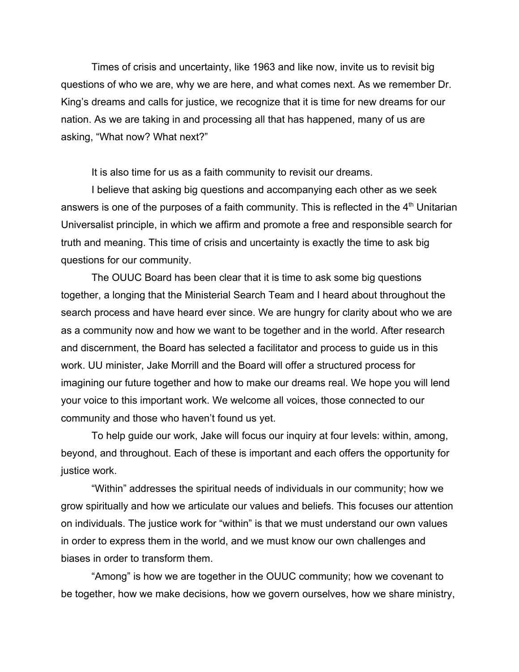Times of crisis and uncertainty, like 1963 and like now, invite us to revisit big questions of who we are, why we are here, and what comes next. As we remember Dr. King's dreams and calls for justice, we recognize that it is time for new dreams for our nation. As we are taking in and processing all that has happened, many of us are asking, "What now? What next?"

It is also time for us as a faith community to revisit our dreams.

I believe that asking big questions and accompanying each other as we seek answers is one of the purposes of a faith community. This is reflected in the  $4<sup>th</sup>$  Unitarian Universalist principle, in which we affirm and promote a free and responsible search for truth and meaning. This time of crisis and uncertainty is exactly the time to ask big questions for our community.

The OUUC Board has been clear that it is time to ask some big questions together, a longing that the Ministerial Search Team and I heard about throughout the search process and have heard ever since. We are hungry for clarity about who we are as a community now and how we want to be together and in the world. After research and discernment, the Board has selected a facilitator and process to guide us in this work. UU minister, Jake Morrill and the Board will offer a structured process for imagining our future together and how to make our dreams real. We hope you will lend your voice to this important work. We welcome all voices, those connected to our community and those who haven't found us yet.

To help guide our work, Jake will focus our inquiry at four levels: within, among, beyond, and throughout. Each of these is important and each offers the opportunity for justice work.

"Within" addresses the spiritual needs of individuals in our community; how we grow spiritually and how we articulate our values and beliefs. This focuses our attention on individuals. The justice work for "within" is that we must understand our own values in order to express them in the world, and we must know our own challenges and biases in order to transform them.

"Among" is how we are together in the OUUC community; how we covenant to be together, how we make decisions, how we govern ourselves, how we share ministry,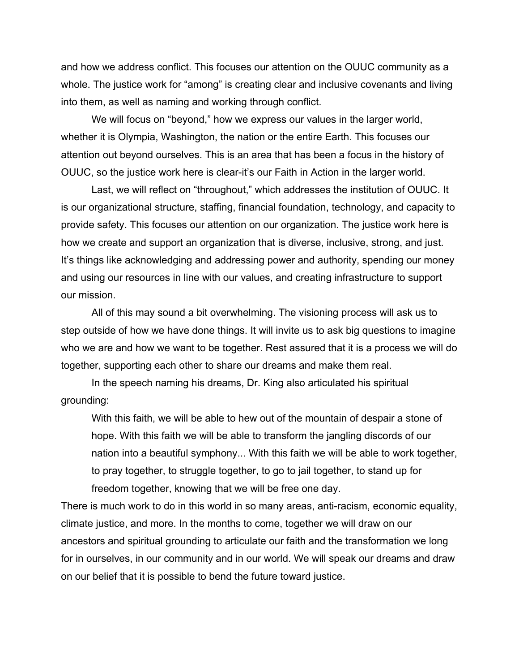and how we address conflict. This focuses our attention on the OUUC community as a whole. The justice work for "among" is creating clear and inclusive covenants and living into them, as well as naming and working through conflict.

We will focus on "beyond," how we express our values in the larger world, whether it is Olympia, Washington, the nation or the entire Earth. This focuses our attention out beyond ourselves. This is an area that has been a focus in the history of OUUC, so the justice work here is clear-it's our Faith in Action in the larger world.

Last, we will reflect on "throughout," which addresses the institution of OUUC. It is our organizational structure, staffing, financial foundation, technology, and capacity to provide safety. This focuses our attention on our organization. The justice work here is how we create and support an organization that is diverse, inclusive, strong, and just. It's things like acknowledging and addressing power and authority, spending our money and using our resources in line with our values, and creating infrastructure to support our mission.

All of this may sound a bit overwhelming. The visioning process will ask us to step outside of how we have done things. It will invite us to ask big questions to imagine who we are and how we want to be together. Rest assured that it is a process we will do together, supporting each other to share our dreams and make them real.

In the speech naming his dreams, Dr. King also articulated his spiritual grounding:

With this faith, we will be able to hew out of the mountain of despair a stone of hope. With this faith we will be able to transform the jangling discords of our nation into a beautiful symphony... With this faith we will be able to work together, to pray together, to struggle together, to go to jail together, to stand up for freedom together, knowing that we will be free one day.

There is much work to do in this world in so many areas, anti-racism, economic equality, climate justice, and more. In the months to come, together we will draw on our ancestors and spiritual grounding to articulate our faith and the transformation we long for in ourselves, in our community and in our world. We will speak our dreams and draw on our belief that it is possible to bend the future toward justice.